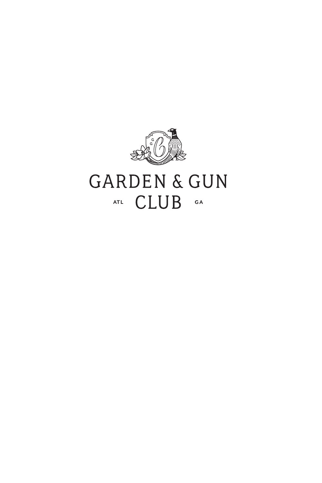

# **GARDEN & GUN** ATL CLUB GA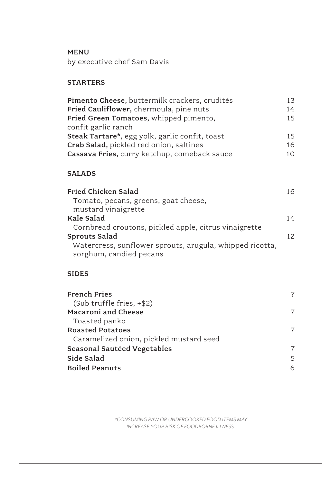MENU

by executive chef Sam Davis

# **STARTERS**

| Pimento Cheese, buttermilk crackers, crudités  | 13. |
|------------------------------------------------|-----|
| Fried Cauliflower, chermoula, pine nuts        | 14  |
| Fried Green Tomatoes, whipped pimento,         | 15  |
| confit garlic ranch                            |     |
| Steak Tartare*, egg yolk, garlic confit, toast | 1.5 |
| Crab Salad, pickled red onion, saltines        | 16  |
| Cassava Fries, curry ketchup, comeback sauce   | 10. |
|                                                |     |

#### SALADS

| Fried Chicken Salad                                      | 16 |
|----------------------------------------------------------|----|
| Tomato, pecans, greens, goat cheese,                     |    |
| mustard vinaigrette                                      |    |
| Kale Salad                                               | 14 |
| Cornbread croutons, pickled apple, citrus vinaigrette    |    |
| <b>Sprouts Salad</b>                                     | 12 |
| Watercress, sunflower sprouts, arugula, whipped ricotta, |    |
| sorghum, candied pecans                                  |    |

### SIDES

| <b>French Fries</b><br>(Sub truffle fries, +\$2) | 7 |
|--------------------------------------------------|---|
| Macaroni and Cheese                              | 7 |
| Toasted panko                                    |   |
| <b>Roasted Potatoes</b>                          | 7 |
| Caramelized onion, pickled mustard seed          |   |
| Seasonal Sautéed Vegetables                      | 7 |
| Side Salad                                       | 5 |
| <b>Boiled Peanuts</b>                            | 6 |

*\*CONSUMING RAW OR UNDERCOOKED FOOD ITEMS MAY INCREASE YOUR RISK OF FOODBORNE ILLNESS.*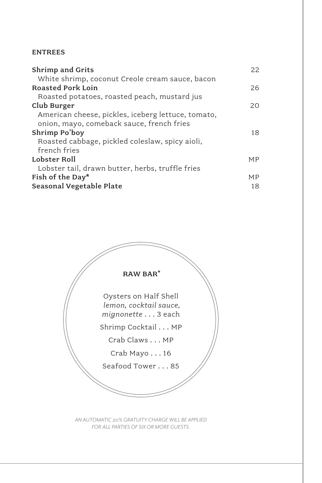#### ENTREES

| <b>Shrimp and Grits</b>                            | 22        |
|----------------------------------------------------|-----------|
| White shrimp, coconut Creole cream sauce, bacon    |           |
| <b>Roasted Pork Loin</b>                           | 26        |
| Roasted potatoes, roasted peach, mustard jus       |           |
| Club Burger                                        | 20        |
| American cheese, pickles, iceberg lettuce, tomato, |           |
| onion, mayo, comeback sauce, french fries          |           |
| Shrimp Po'boy                                      | 18        |
| Roasted cabbage, pickled coleslaw, spicy aioli,    |           |
| french fries                                       |           |
| Lobster Roll                                       | <b>MP</b> |
| Lobster tail, drawn butter, herbs, truffle fries   |           |
| Fish of the Day*                                   | <b>MP</b> |
| Seasonal Vegetable Plate                           | 18        |



*AN AUTOMATIC 20% GRATUITY CHARGE WILL BE APPLIED FOR ALL PARTIES OF SIX OR MORE GUESTS.*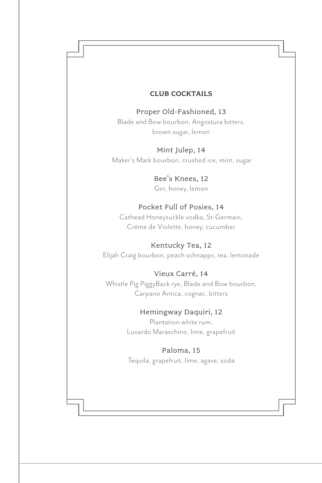#### CLUB COCKTAILS

Proper Old-Fashioned, 13 Blade and Bow bourbon, Angostura bitters, brown sugar, lemon

Mint Julep, 14 Maker's Mark bourbon, crushed ice, mint, sugar

> Bee's Knees, 12 Gin, honey, lemon

#### Pocket Full of Posies, 14

Cathead Honeysuckle vodka, St-Germain, Crème de Violette, honey, cucumber

Kentucky Tea, 12 Elijah Craig bourbon, peach schnapps, tea, lemonade

# Vieux Carré, 14

Whistle Pig PiggyBack rye, Blade and Bow bourbon, Carpano Antica, cognac, bitters

#### Hemingway Daquiri, 12

Plantation white rum, Luxardo Maraschino, lime, grapefruit

#### Paloma, 15

Tequila, grapefruit, lime, agave, soda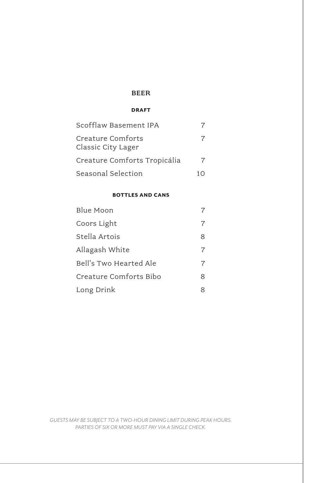#### BEER

#### DRAFT

| Scofflaw Basement IPA                   |  |
|-----------------------------------------|--|
| Creature Comforts<br>Classic City Lager |  |
| Creature Comforts Tropicália            |  |
| Seasonal Selection                      |  |

#### BOTTLES AND CANS

| Blue Moon              | 7 |
|------------------------|---|
| Coors Light            | 7 |
| Stella Artois          | 8 |
| Allagash White         | 7 |
| Bell's Two Hearted Ale | 7 |
| Creature Comforts Bibo | 8 |
| Long Drink             | 8 |

*GUESTS MAY BE SUBJECT TO A TWO-HOUR DINING LIMIT DURING PEAK HOURS. PARTIES OF SIX OR MORE MUST PAY VIA A SINGLE CHECK.*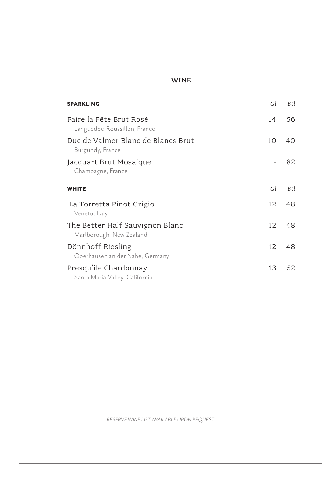# WINE

| <b>SPARKLING</b>                                            | Gl | Btl |
|-------------------------------------------------------------|----|-----|
| Faire la Fête Brut Rosé<br>Languedoc-Roussillon, France     | 14 | 56  |
| Duc de Valmer Blanc de Blancs Brut<br>Burgundy, France      | 10 | 40  |
| Jacquart Brut Mosaique<br>Champagne, France                 |    | 82  |
| <b>WHITE</b>                                                | Gl | Btl |
| La Torretta Pinot Grigio<br>Veneto, Italy                   | 12 | 48  |
| The Better Half Sauvignon Blanc<br>Marlborough, New Zealand | 12 | 48  |
| Dönnhoff Riesling<br>Oberhausen an der Nahe, Germany        | 12 | 48  |
| Presqu'ile Chardonnay<br>Santa Maria Valley, California     | 13 | 52  |

*RESERVE WINE LIST AVAILABLE UPON REQUEST.*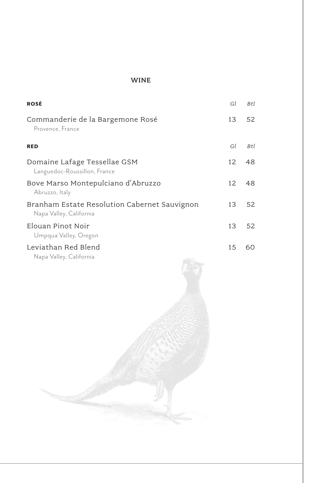#### WINE

| <b>ROSÉ</b>                                                             | Gl  | Btl |
|-------------------------------------------------------------------------|-----|-----|
| Commanderie de la Bargemone Rosé<br>Provence, France                    | 13  | 52  |
| <b>RED</b>                                                              | Gl  | Btl |
| Domaine Lafage Tessellae GSM<br>Languedoc-Roussillon, France            | 12  | 48  |
| Bove Marso Montepulciano d'Abruzzo<br>Abruzzo, Italy                    | 12. | 48  |
| Branham Estate Resolution Cabernet Sauvignon<br>Napa Valley, California | 13  | 52  |
| Elouan Pinot Noir<br>Umpqua Valley, Oregon                              | 13  | 52  |
| Leviathan Red Blend<br>Napa Valley, California                          | 15  | 60  |